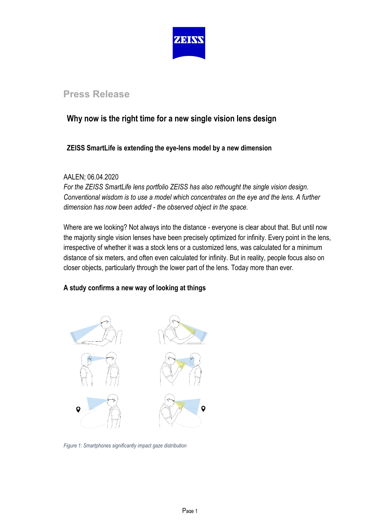

# **Press Release**

# **Why now is the right time for a new single vision lens design**

## **ZEISS SmartLife is extending the eye-lens model by a new dimension**

### AALEN; 06.04.2020

*For the ZEISS SmartLife lens portfolio ZEISS has also rethought the single vision design*. *Conventional wisdom is to use a model which concentrates on the eye and the lens. A further dimension has now been added - the observed object in the space.* 

Where are we looking? Not always into the distance - everyone is clear about that. But until now the majority single vision lenses have been precisely optimized for infinity. Every point in the lens, irrespective of whether it was a stock lens or a customized lens, was calculated for a minimum distance of six meters, and often even calculated for infinity. But in reality, people focus also on closer objects, particularly through the lower part of the lens. Today more than ever.

### **A study confirms a new way of looking at things**



*Figure 1: Smartphones significantly impact gaze distribution*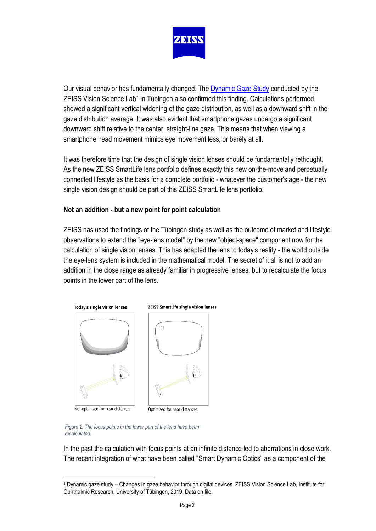

Our visual behavior has fundamentally changed. Th[e Dynamic Gaze Study](https://www.zeiss.com/vision-care/int/about-us/newsroom/news-overview/2020/dynamic-gaze-study.html) conducted by the ZEISS Vision Science Lab<sup>[1](#page-1-0)</sup> in Tübingen also confirmed this finding. Calculations performed showed a significant vertical widening of the gaze distribution, as well as a downward shift in the gaze distribution average. It was also evident that smartphone gazes undergo a significant downward shift relative to the center, straight-line gaze. This means that when viewing a smartphone head movement mimics eye movement less, or barely at all.

It was therefore time that the design of single vision lenses should be fundamentally rethought. As the new ZEISS SmartLife lens portfolio defines exactly this new on-the-move and perpetually connected lifestyle as the basis for a complete portfolio - whatever the customer's age - the new single vision design should be part of this ZEISS SmartLife lens portfolio.

### **Not an addition - but a new point for point calculation**

ZEISS has used the findings of the Tübingen study as well as the outcome of market and lifestyle observations to extend the "eye-lens model" by the new "object-space" component now for the calculation of single vision lenses. This has adapted the lens to today's reality - the world outside the eye-lens system is included in the mathematical model. The secret of it all is not to add an addition in the close range as already familiar in progressive lenses, but to recalculate the focus points in the lower part of the lens.



*Figure 2: The focus points in the lower part of the lens have been recalculated.*

In the past the calculation with focus points at an infinite distance led to aberrations in close work. The recent integration of what have been called "Smart Dynamic Optics" as a component of the

<span id="page-1-0"></span><sup>1</sup> Dynamic gaze study – Changes in gaze behavior through digital devices. ZEISS Vision Science Lab, Institute for Ophthalmic Research, University of Tübingen, 2019. Data on file.